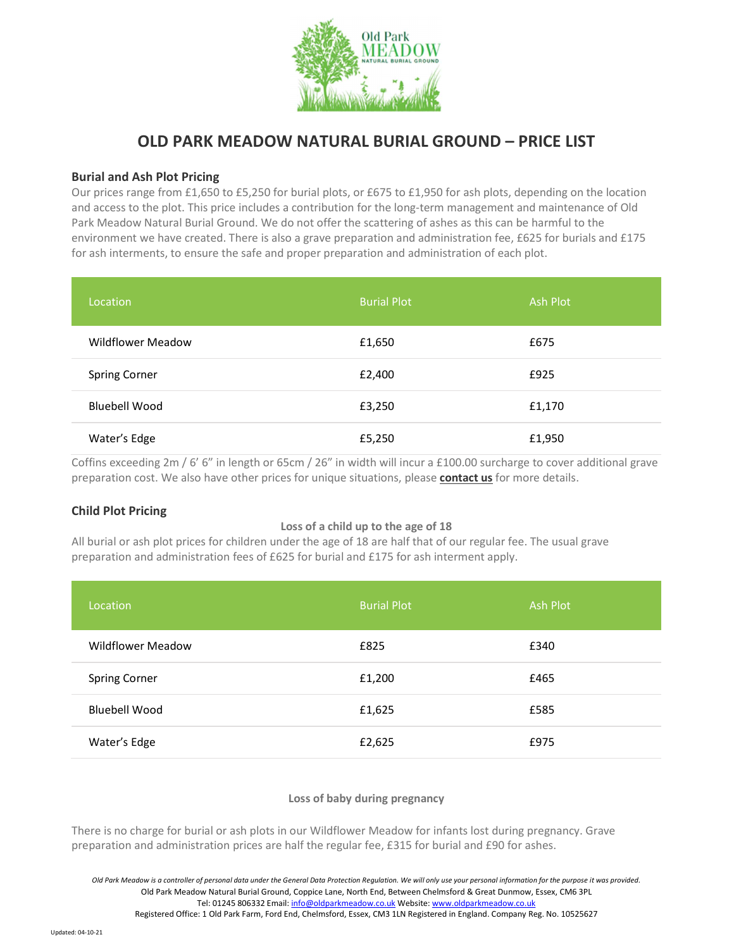

# OLD PARK MEADOW NATURAL BURIAL GROUND – PRICE LIST

# Burial and Ash Plot Pricing

Our prices range from £1,650 to £5,250 for burial plots, or £675 to £1,950 for ash plots, depending on the location and access to the plot. This price includes a contribution for the long-term management and maintenance of Old Park Meadow Natural Burial Ground. We do not offer the scattering of ashes as this can be harmful to the environment we have created. There is also a grave preparation and administration fee, £625 for burials and £175 for ash interments, to ensure the safe and proper preparation and administration of each plot.

| Location                 | <b>Burial Plot</b> | <b>Ash Plot</b> |
|--------------------------|--------------------|-----------------|
| <b>Wildflower Meadow</b> | £1,650             | £675            |
| <b>Spring Corner</b>     | £2,400             | £925            |
| <b>Bluebell Wood</b>     | £3,250             | £1,170          |
| Water's Edge             | £5,250             | £1,950          |

Coffins exceeding 2m / 6' 6" in length or 65cm / 26" in width will incur a £100.00 surcharge to cover additional grave preparation cost. We also have other prices for unique situations, please **contact us** for more details.

# Child Plot Pricing

#### Loss of a child up to the age of 18

All burial or ash plot prices for children under the age of 18 are half that of our regular fee. The usual grave preparation and administration fees of £625 for burial and £175 for ash interment apply.

| Location                 | <b>Burial Plot</b> | Ash Plot |
|--------------------------|--------------------|----------|
| <b>Wildflower Meadow</b> | £825               | £340     |
| <b>Spring Corner</b>     | £1,200             | £465     |
| <b>Bluebell Wood</b>     | £1,625             | £585     |
| Water's Edge             | £2,625             | £975     |

#### Loss of baby during pregnancy

There is no charge for burial or ash plots in our Wildflower Meadow for infants lost during pregnancy. Grave preparation and administration prices are half the regular fee, £315 for burial and £90 for ashes.

Registered Office: 1 Old Park Farm, Ford End, Chelmsford, Essex, CM3 1LN Registered in England. Company Reg. No. 10525627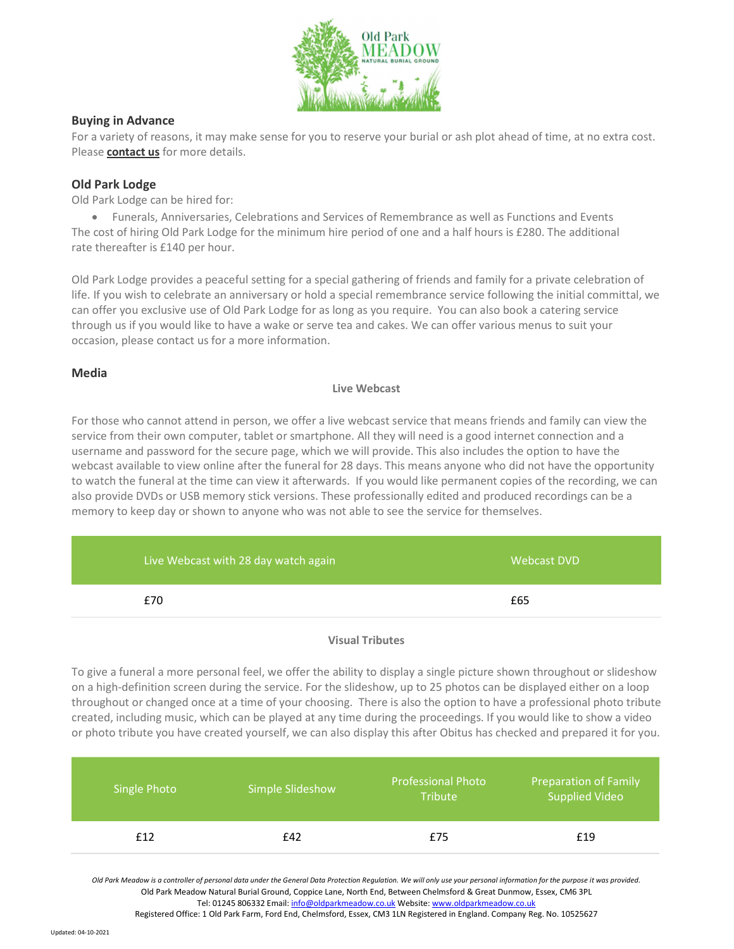

# Buying in Advance

For a variety of reasons, it may make sense for you to reserve your burial or ash plot ahead of time, at no extra cost. Please contact us for more details.

# Old Park Lodge

Old Park Lodge can be hired for:

 Funerals, Anniversaries, Celebrations and Services of Remembrance as well as Functions and Events The cost of hiring Old Park Lodge for the minimum hire period of one and a half hours is £280. The additional rate thereafter is £140 per hour.

Old Park Lodge provides a peaceful setting for a special gathering of friends and family for a private celebration of life. If you wish to celebrate an anniversary or hold a special remembrance service following the initial committal, we can offer you exclusive use of Old Park Lodge for as long as you require. You can also book a catering service through us if you would like to have a wake or serve tea and cakes. We can offer various menus to suit your occasion, please contact us for a more information.

## Media

## Live Webcast

For those who cannot attend in person, we offer a live webcast service that means friends and family can view the service from their own computer, tablet or smartphone. All they will need is a good internet connection and a username and password for the secure page, which we will provide. This also includes the option to have the webcast available to view online after the funeral for 28 days. This means anyone who did not have the opportunity to watch the funeral at the time can view it afterwards. If you would like permanent copies of the recording, we can also provide DVDs or USB memory stick versions. These professionally edited and produced recordings can be a memory to keep day or shown to anyone who was not able to see the service for themselves.

| Live Webcast with 28 day watch again | Webcast DVD |
|--------------------------------------|-------------|
| £70                                  | £65         |

## Visual Tributes

To give a funeral a more personal feel, we offer the ability to display a single picture shown throughout or slideshow on a high-definition screen during the service. For the slideshow, up to 25 photos can be displayed either on a loop throughout or changed once at a time of your choosing. There is also the option to have a professional photo tribute created, including music, which can be played at any time during the proceedings. If you would like to show a video or photo tribute you have created yourself, we can also display this after Obitus has checked and prepared it for you.

| Single Photo | Simple Slideshow | <b>Professional Photo</b><br><b>Tribute</b> | <b>Preparation of Family</b><br><b>Supplied Video</b> |
|--------------|------------------|---------------------------------------------|-------------------------------------------------------|
| £12          | £42              | £75                                         | £19                                                   |

Old Park Meadow is a controller of personal data under the General Data Protection Regulation. We will only use your personal information for the purpose it was provided. Old Park Meadow Natural Burial Ground, Coppice Lane, North End, Between Chelmsford & Great Dunmow, Essex, CM6 3PL Tel: 01245 806332 Email: info@oldparkmeadow.co.uk Website: www.oldparkmeadow.co.uk

Registered Office: 1 Old Park Farm, Ford End, Chelmsford, Essex, CM3 1LN Registered in England. Company Reg. No. 10525627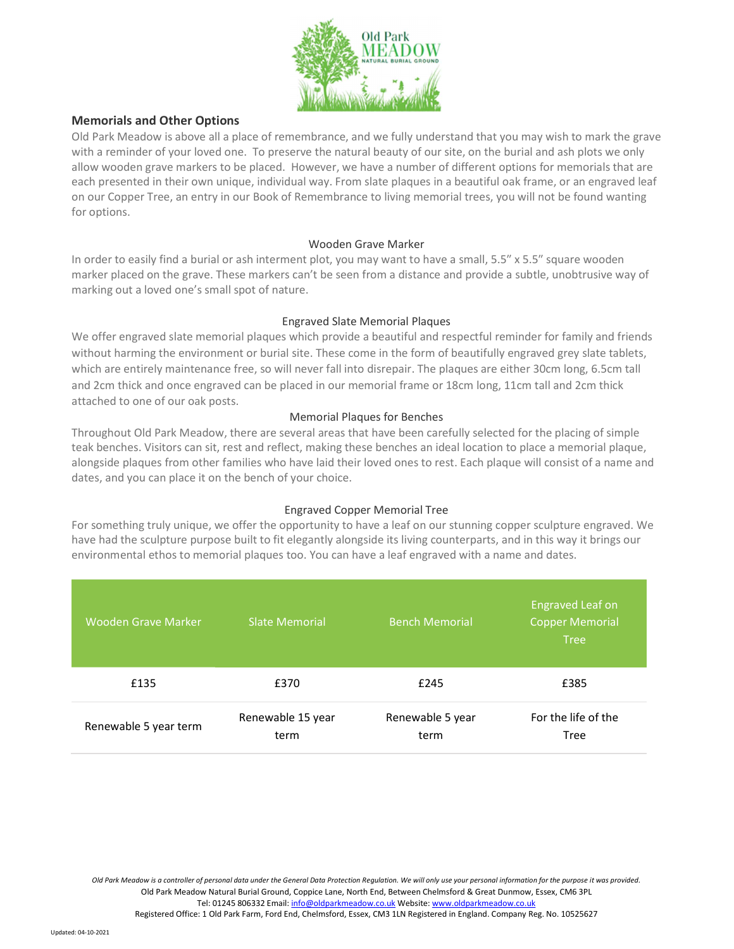

# Memorials and Other Options

Old Park Meadow is above all a place of remembrance, and we fully understand that you may wish to mark the grave with a reminder of your loved one. To preserve the natural beauty of our site, on the burial and ash plots we only allow wooden grave markers to be placed. However, we have a number of different options for memorials that are each presented in their own unique, individual way. From slate plaques in a beautiful oak frame, or an engraved leaf on our Copper Tree, an entry in our Book of Remembrance to living memorial trees, you will not be found wanting for options.

#### Wooden Grave Marker

In order to easily find a burial or ash interment plot, you may want to have a small, 5.5″ x 5.5″ square wooden marker placed on the grave. These markers can't be seen from a distance and provide a subtle, unobtrusive way of marking out a loved one's small spot of nature.

## Engraved Slate Memorial Plaques

We offer engraved slate memorial plaques which provide a beautiful and respectful reminder for family and friends without harming the environment or burial site. These come in the form of beautifully engraved grey slate tablets, which are entirely maintenance free, so will never fall into disrepair. The plaques are either 30cm long, 6.5cm tall and 2cm thick and once engraved can be placed in our memorial frame or 18cm long, 11cm tall and 2cm thick attached to one of our oak posts.

## Memorial Plaques for Benches

Throughout Old Park Meadow, there are several areas that have been carefully selected for the placing of simple teak benches. Visitors can sit, rest and reflect, making these benches an ideal location to place a memorial plaque, alongside plaques from other families who have laid their loved ones to rest. Each plaque will consist of a name and dates, and you can place it on the bench of your choice.

# Engraved Copper Memorial Tree

For something truly unique, we offer the opportunity to have a leaf on our stunning copper sculpture engraved. We have had the sculpture purpose built to fit elegantly alongside its living counterparts, and in this way it brings our environmental ethos to memorial plaques too. You can have a leaf engraved with a name and dates.

| <b>Wooden Grave Marker</b> | <b>Slate Memorial</b>     | <b>Bench Memorial</b>    | <b>Engraved Leaf on</b><br><b>Copper Memorial</b><br><b>Tree</b> |
|----------------------------|---------------------------|--------------------------|------------------------------------------------------------------|
| £135                       | £370                      | £245                     | £385                                                             |
| Renewable 5 year term      | Renewable 15 year<br>term | Renewable 5 year<br>term | For the life of the<br>Tree                                      |

Old Park Meadow is a controller of personal data under the General Data Protection Regulation. We will only use your personal information for the purpose it was provided. Old Park Meadow Natural Burial Ground, Coppice Lane, North End, Between Chelmsford & Great Dunmow, Essex, CM6 3PL Tel: 01245 806332 Email: info@oldparkmeadow.co.uk Website: www.oldparkmeadow.co.uk